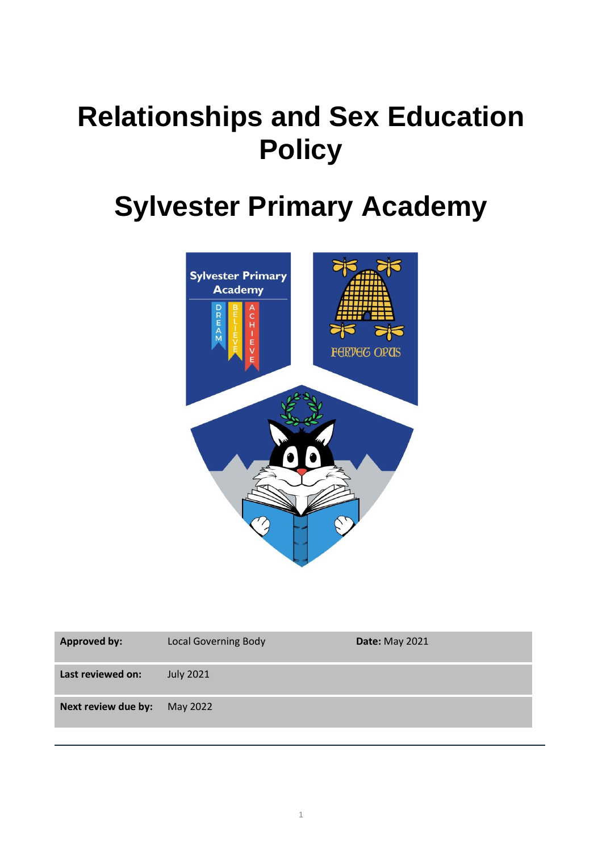# **Relationships and Sex Education Policy**

## **Sylvester Primary Academy**



| <b>Approved by:</b> | <b>Local Governing Body</b> | <b>Date: May 2021</b> |
|---------------------|-----------------------------|-----------------------|
| Last reviewed on:   | <b>July 2021</b>            |                       |
| Next review due by: | May 2022                    |                       |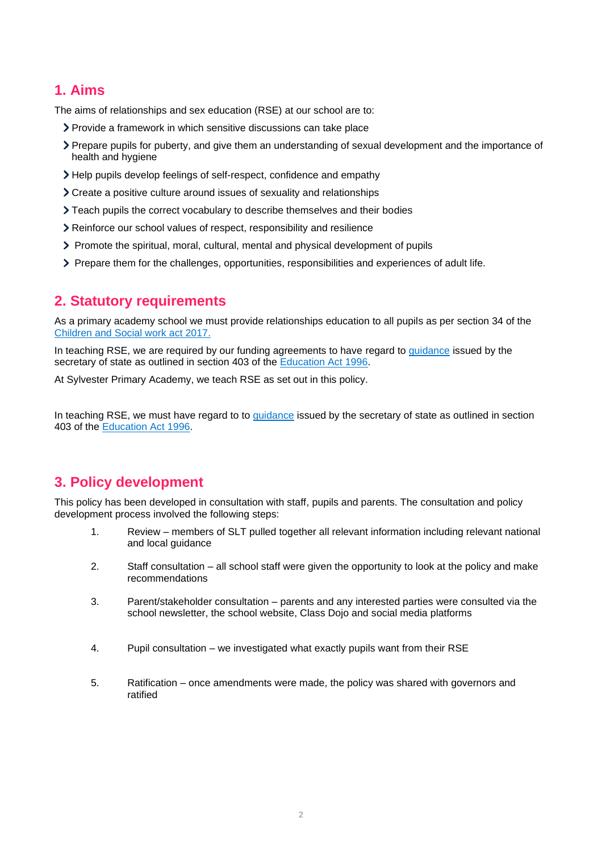## **1. Aims**

The aims of relationships and sex education (RSE) at our school are to:

- Provide a framework in which sensitive discussions can take place
- Prepare pupils for puberty, and give them an understanding of sexual development and the importance of health and hygiene
- Help pupils develop feelings of self-respect, confidence and empathy
- Create a positive culture around issues of sexuality and relationships
- Teach pupils the correct vocabulary to describe themselves and their bodies
- Reinforce our school values of respect, responsibility and resilience
- Promote the spiritual, moral, cultural, mental and physical development of pupils
- Prepare them for the challenges, opportunities, responsibilities and experiences of adult life.

## **2. Statutory requirements**

As a primary academy school we must provide relationships education to all pupils as per section 34 of the [Children and Social work act 2017.](http://www.legislation.gov.uk/ukpga/2017/16/section/34/enacted)

In teaching RSE, we are required by our funding agreements to have regard to [guidance](https://www.gov.uk/government/consultations/relationships-and-sex-education-and-health-education) issued by the secretary of state as outlined in section 403 of the [Education Act 1996.](http://www.legislation.gov.uk/ukpga/1996/56/contents)

At Sylvester Primary Academy, we teach RSE as set out in this policy.

In teaching RSE, we must have regard to to [guidance](https://www.gov.uk/government/consultations/relationships-and-sex-education-and-health-education) issued by the secretary of state as outlined in section 403 of the [Education Act 1996.](http://www.legislation.gov.uk/ukpga/1996/56/contents)

## **3. Policy development**

This policy has been developed in consultation with staff, pupils and parents. The consultation and policy development process involved the following steps:

- 1. Review members of SLT pulled together all relevant information including relevant national and local guidance
- 2. Staff consultation all school staff were given the opportunity to look at the policy and make recommendations
- 3. Parent/stakeholder consultation parents and any interested parties were consulted via the school newsletter, the school website, Class Dojo and social media platforms
- 4. Pupil consultation we investigated what exactly pupils want from their RSE
- 5. Ratification once amendments were made, the policy was shared with governors and ratified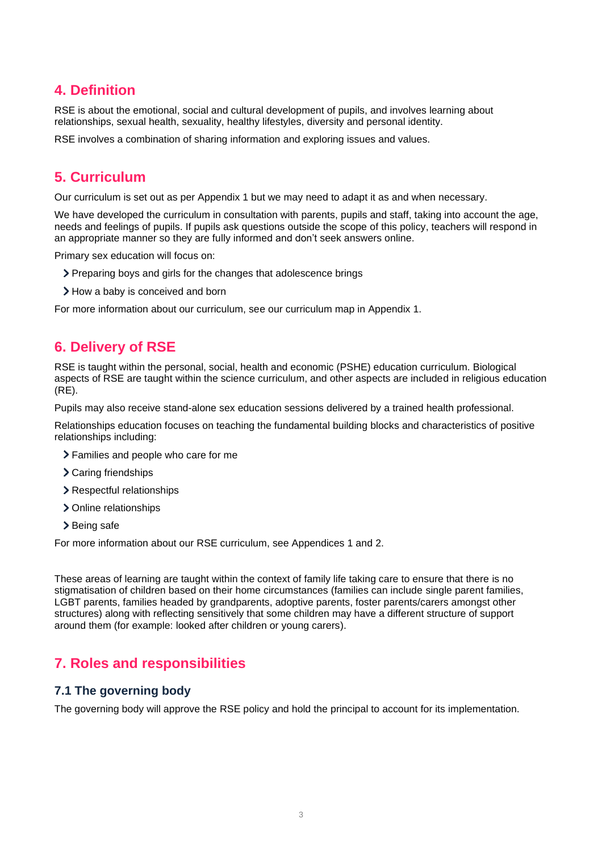## **4. Definition**

RSE is about the emotional, social and cultural development of pupils, and involves learning about relationships, sexual health, sexuality, healthy lifestyles, diversity and personal identity.

RSE involves a combination of sharing information and exploring issues and values.

## **5. Curriculum**

Our curriculum is set out as per Appendix 1 but we may need to adapt it as and when necessary.

We have developed the curriculum in consultation with parents, pupils and staff, taking into account the age, needs and feelings of pupils. If pupils ask questions outside the scope of this policy, teachers will respond in an appropriate manner so they are fully informed and don't seek answers online.

Primary sex education will focus on:

- Preparing boys and girls for the changes that adolescence brings
- > How a baby is conceived and born

For more information about our curriculum, see our curriculum map in Appendix 1.

## **6. Delivery of RSE**

RSE is taught within the personal, social, health and economic (PSHE) education curriculum. Biological aspects of RSE are taught within the science curriculum, and other aspects are included in religious education (RE).

Pupils may also receive stand-alone sex education sessions delivered by a trained health professional.

Relationships education focuses on teaching the fundamental building blocks and characteristics of positive relationships including:

- Families and people who care for me
- > Caring friendships
- > Respectful relationships
- > Online relationships
- > Being safe

For more information about our RSE curriculum, see Appendices 1 and 2.

These areas of learning are taught within the context of family life taking care to ensure that there is no stigmatisation of children based on their home circumstances (families can include single parent families, LGBT parents, families headed by grandparents, adoptive parents, foster parents/carers amongst other structures) along with reflecting sensitively that some children may have a different structure of support around them (for example: looked after children or young carers).

## **7. Roles and responsibilities**

#### **7.1 The governing body**

The governing body will approve the RSE policy and hold the principal to account for its implementation.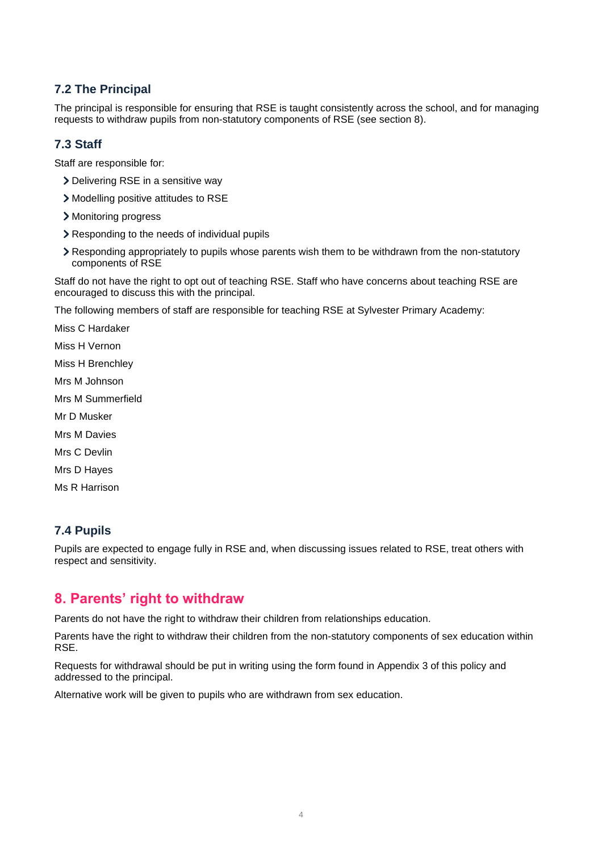#### **7.2 The Principal**

The principal is responsible for ensuring that RSE is taught consistently across the school, and for managing requests to withdraw pupils from non-statutory components of RSE (see section 8).

#### **7.3 Staff**

Staff are responsible for:

- > Delivering RSE in a sensitive way
- Modelling positive attitudes to RSE
- Monitoring progress
- Responding to the needs of individual pupils
- Responding appropriately to pupils whose parents wish them to be withdrawn from the non-statutory components of RSE

Staff do not have the right to opt out of teaching RSE. Staff who have concerns about teaching RSE are encouraged to discuss this with the principal.

The following members of staff are responsible for teaching RSE at Sylvester Primary Academy:

Miss C Hardaker Miss H Vernon

Miss H Brenchley

Mrs M Johnson

Mrs M Summerfield

- Mr D Musker
- Mrs M Davies

Mrs C Devlin

Mrs D Hayes

Ms R Harrison

#### **7.4 Pupils**

Pupils are expected to engage fully in RSE and, when discussing issues related to RSE, treat others with respect and sensitivity.

#### **8. Parents' right to withdraw**

Parents do not have the right to withdraw their children from relationships education.

Parents have the right to withdraw their children from the non-statutory components of sex education within RSE.

Requests for withdrawal should be put in writing using the form found in Appendix 3 of this policy and addressed to the principal.

Alternative work will be given to pupils who are withdrawn from sex education.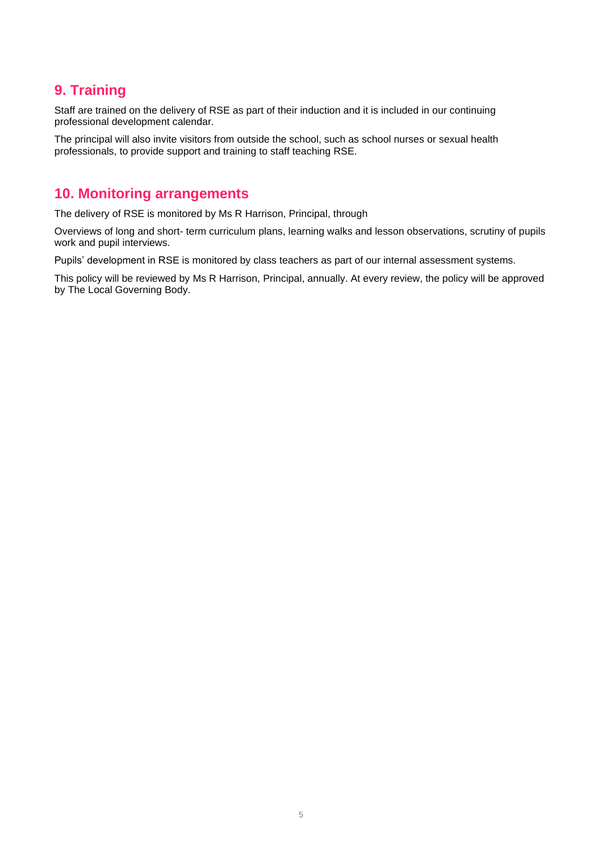## **9. Training**

Staff are trained on the delivery of RSE as part of their induction and it is included in our continuing professional development calendar.

The principal will also invite visitors from outside the school, such as school nurses or sexual health professionals, to provide support and training to staff teaching RSE.

## **10. Monitoring arrangements**

The delivery of RSE is monitored by Ms R Harrison, Principal, through

Overviews of long and short- term curriculum plans, learning walks and lesson observations, scrutiny of pupils work and pupil interviews.

Pupils' development in RSE is monitored by class teachers as part of our internal assessment systems.

This policy will be reviewed by Ms R Harrison, Principal, annually. At every review, the policy will be approved by The Local Governing Body.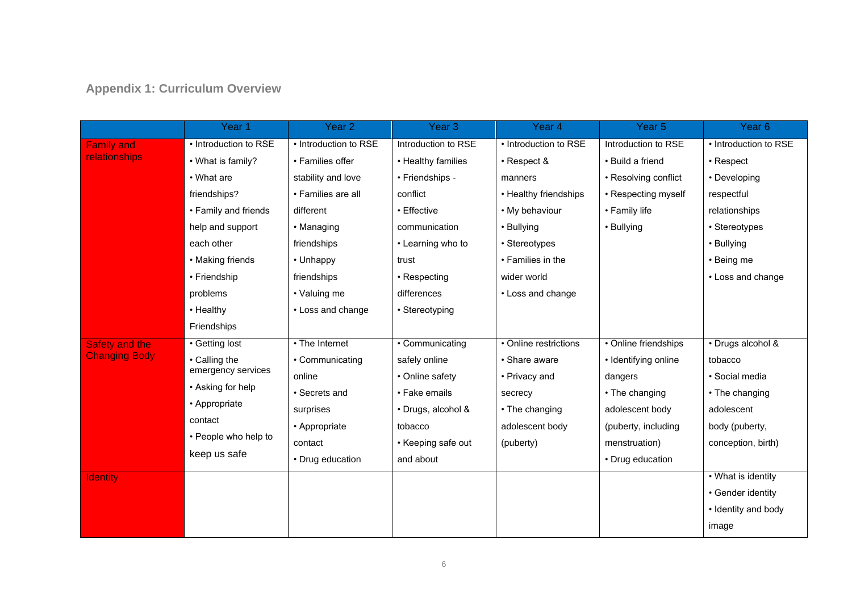## **Appendix 1: Curriculum Overview**

|                      | Year <sub>1</sub>     | Year <sub>2</sub>               | Year <sub>3</sub>   | Year 4                | Year <sub>5</sub>    | Year <sub>6</sub>     |
|----------------------|-----------------------|---------------------------------|---------------------|-----------------------|----------------------|-----------------------|
| <b>Family and</b>    | • Introduction to RSE | • Introduction to RSE           | Introduction to RSE | • Introduction to RSE | Introduction to RSE  | • Introduction to RSE |
| <b>relationships</b> | • What is family?     | • Families offer                | • Healthy families  | • Respect &           | • Build a friend     | $\cdot$ Respect       |
|                      | • What are            | stability and love              | • Friendships -     | manners               | • Resolving conflict | • Developing          |
|                      | friendships?          | • Families are all              | conflict            | • Healthy friendships | • Respecting myself  | respectful            |
|                      | • Family and friends  | different                       | • Effective         | • My behaviour        | • Family life        | relationships         |
|                      | help and support      | • Managing                      | communication       | • Bullying            | • Bullying           | • Stereotypes         |
|                      | each other            | friendships                     | • Learning who to   | • Stereotypes         |                      | • Bullying            |
|                      | • Making friends      | • Unhappy                       | trust               | • Families in the     |                      | • Being me            |
|                      | • Friendship          | friendships                     | • Respecting        | wider world           |                      | • Loss and change     |
|                      | problems              | • Valuing me                    | differences         | • Loss and change     |                      |                       |
|                      | • Healthy             | • Loss and change               | • Stereotyping      |                       |                      |                       |
|                      | Friendships           |                                 |                     |                       |                      |                       |
| Safety and the       | • Getting lost        | $\overline{\cdot}$ The Internet | • Communicating     | • Online restrictions | • Online friendships | · Drugs alcohol &     |
| <b>Changing Body</b> | • Calling the         | • Communicating                 | safely online       | • Share aware         | · Identifying online | tobacco               |
|                      | emergency services    | online                          | • Online safety     | • Privacy and         | dangers              | · Social media        |
|                      | • Asking for help     | • Secrets and                   | • Fake emails       | secrecy               | • The changing       | • The changing        |
|                      | • Appropriate         | surprises                       | • Drugs, alcohol &  | • The changing        | adolescent body      | adolescent            |
|                      | contact               | • Appropriate                   | tobacco             | adolescent body       | (puberty, including  | body (puberty,        |
|                      | • People who help to  | contact                         | • Keeping safe out  | (puberty)             | menstruation)        | conception, birth)    |
|                      | keep us safe          | • Drug education                | and about           |                       | • Drug education     |                       |
| <b>Identity</b>      |                       |                                 |                     |                       |                      | • What is identity    |
|                      |                       |                                 |                     |                       |                      | • Gender identity     |
|                      |                       |                                 |                     |                       |                      | • Identity and body   |
|                      |                       |                                 |                     |                       |                      | image                 |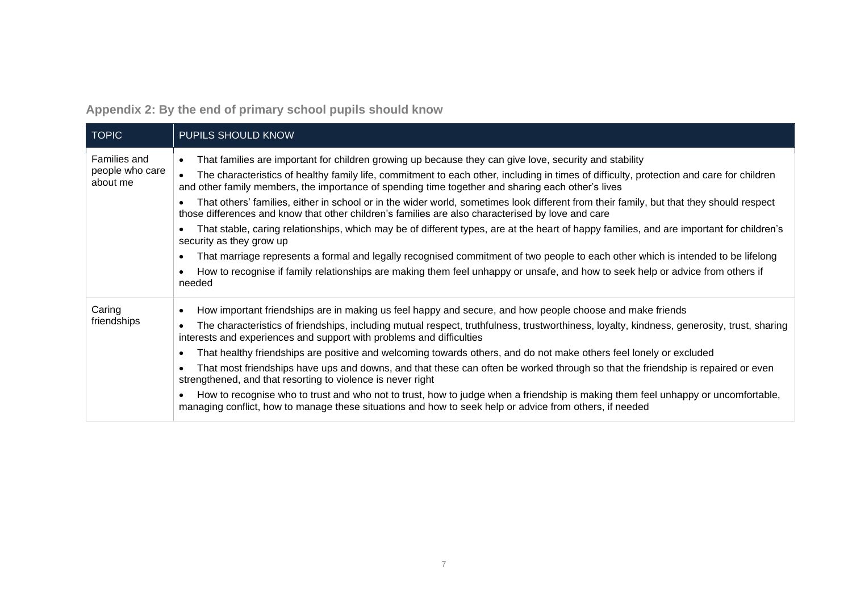**Appendix 2: By the end of primary school pupils should know**

| <b>TOPIC</b>                                | PUPILS SHOULD KNOW                                                                                                                                                                                                                                                                                                                                                                                                                                                                                                                                                                                                                                                                                                                                                                                                                                                                                                                                                                                                                                              |
|---------------------------------------------|-----------------------------------------------------------------------------------------------------------------------------------------------------------------------------------------------------------------------------------------------------------------------------------------------------------------------------------------------------------------------------------------------------------------------------------------------------------------------------------------------------------------------------------------------------------------------------------------------------------------------------------------------------------------------------------------------------------------------------------------------------------------------------------------------------------------------------------------------------------------------------------------------------------------------------------------------------------------------------------------------------------------------------------------------------------------|
| Families and<br>people who care<br>about me | That families are important for children growing up because they can give love, security and stability<br>The characteristics of healthy family life, commitment to each other, including in times of difficulty, protection and care for children<br>and other family members, the importance of spending time together and sharing each other's lives<br>That others' families, either in school or in the wider world, sometimes look different from their family, but that they should respect<br>those differences and know that other children's families are also characterised by love and care<br>That stable, caring relationships, which may be of different types, are at the heart of happy families, and are important for children's<br>security as they grow up<br>That marriage represents a formal and legally recognised commitment of two people to each other which is intended to be lifelong<br>How to recognise if family relationships are making them feel unhappy or unsafe, and how to seek help or advice from others if<br>needed |
| Caring<br>friendships                       | How important friendships are in making us feel happy and secure, and how people choose and make friends<br>The characteristics of friendships, including mutual respect, truthfulness, trustworthiness, loyalty, kindness, generosity, trust, sharing<br>interests and experiences and support with problems and difficulties<br>That healthy friendships are positive and welcoming towards others, and do not make others feel lonely or excluded<br>That most friendships have ups and downs, and that these can often be worked through so that the friendship is repaired or even<br>strengthened, and that resorting to violence is never right<br>How to recognise who to trust and who not to trust, how to judge when a friendship is making them feel unhappy or uncomfortable,<br>managing conflict, how to manage these situations and how to seek help or advice from others, if needed                                                                                                                                                           |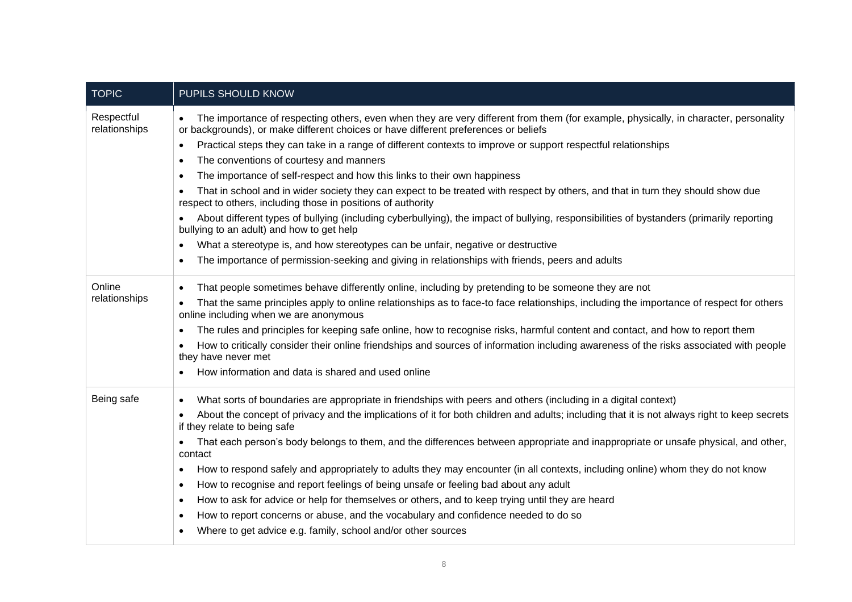| <b>TOPIC</b>                | PUPILS SHOULD KNOW                                                                                                                                                                                                          |  |  |  |
|-----------------------------|-----------------------------------------------------------------------------------------------------------------------------------------------------------------------------------------------------------------------------|--|--|--|
| Respectful<br>relationships | The importance of respecting others, even when they are very different from them (for example, physically, in character, personality<br>or backgrounds), or make different choices or have different preferences or beliefs |  |  |  |
|                             | Practical steps they can take in a range of different contexts to improve or support respectful relationships<br>$\bullet$                                                                                                  |  |  |  |
|                             | The conventions of courtesy and manners<br>$\bullet$                                                                                                                                                                        |  |  |  |
|                             | The importance of self-respect and how this links to their own happiness                                                                                                                                                    |  |  |  |
|                             | That in school and in wider society they can expect to be treated with respect by others, and that in turn they should show due<br>respect to others, including those in positions of authority                             |  |  |  |
|                             | About different types of bullying (including cyberbullying), the impact of bullying, responsibilities of bystanders (primarily reporting<br>bullying to an adult) and how to get help                                       |  |  |  |
|                             | What a stereotype is, and how stereotypes can be unfair, negative or destructive<br>$\bullet$                                                                                                                               |  |  |  |
|                             | The importance of permission-seeking and giving in relationships with friends, peers and adults<br>$\bullet$                                                                                                                |  |  |  |
| Online<br>relationships     | That people sometimes behave differently online, including by pretending to be someone they are not<br>٠                                                                                                                    |  |  |  |
|                             | That the same principles apply to online relationships as to face-to face relationships, including the importance of respect for others<br>online including when we are anonymous                                           |  |  |  |
|                             | The rules and principles for keeping safe online, how to recognise risks, harmful content and contact, and how to report them<br>$\bullet$                                                                                  |  |  |  |
|                             | How to critically consider their online friendships and sources of information including awareness of the risks associated with people<br>they have never met                                                               |  |  |  |
|                             | How information and data is shared and used online                                                                                                                                                                          |  |  |  |
| Being safe                  | What sorts of boundaries are appropriate in friendships with peers and others (including in a digital context)                                                                                                              |  |  |  |
|                             | About the concept of privacy and the implications of it for both children and adults; including that it is not always right to keep secrets<br>$\bullet$<br>if they relate to being safe                                    |  |  |  |
|                             | That each person's body belongs to them, and the differences between appropriate and inappropriate or unsafe physical, and other,<br>$\bullet$<br>contact                                                                   |  |  |  |
|                             | How to respond safely and appropriately to adults they may encounter (in all contexts, including online) whom they do not know<br>٠                                                                                         |  |  |  |
|                             | How to recognise and report feelings of being unsafe or feeling bad about any adult<br>$\bullet$                                                                                                                            |  |  |  |
|                             | How to ask for advice or help for themselves or others, and to keep trying until they are heard<br>٠                                                                                                                        |  |  |  |
|                             | How to report concerns or abuse, and the vocabulary and confidence needed to do so                                                                                                                                          |  |  |  |
|                             | Where to get advice e.g. family, school and/or other sources                                                                                                                                                                |  |  |  |